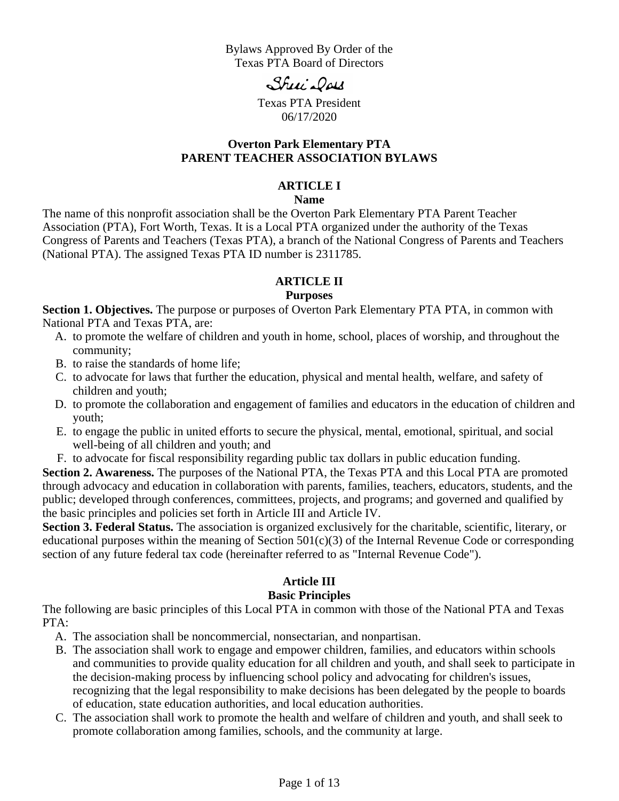Bylaws Approved By Order of the Texas PTA Board of Directors

Shui Dow

Texas PTA President 06/17/2020

#### **Overton Park Elementary PTA PARENT TEACHER ASSOCIATION BYLAWS**

#### **ARTICLE I**

#### **Name**

The name of this nonprofit association shall be the Overton Park Elementary PTA Parent Teacher Association (PTA), Fort Worth, Texas. It is a Local PTA organized under the authority of the Texas Congress of Parents and Teachers (Texas PTA), a branch of the National Congress of Parents and Teachers (National PTA). The assigned Texas PTA ID number is 2311785.

# **ARTICLE II**

#### **Purposes**

**Section 1. Objectives.** The purpose or purposes of Overton Park Elementary PTA PTA, in common with National PTA and Texas PTA, are:

- A. to promote the welfare of children and youth in home, school, places of worship, and throughout the community;
- B. to raise the standards of home life;
- C. to advocate for laws that further the education, physical and mental health, welfare, and safety of children and youth;
- D. to promote the collaboration and engagement of families and educators in the education of children and youth;
- E. to engage the public in united efforts to secure the physical, mental, emotional, spiritual, and social well-being of all children and youth; and
- F. to advocate for fiscal responsibility regarding public tax dollars in public education funding.

**Section 2. Awareness.** The purposes of the National PTA, the Texas PTA and this Local PTA are promoted through advocacy and education in collaboration with parents, families, teachers, educators, students, and the public; developed through conferences, committees, projects, and programs; and governed and qualified by the basic principles and policies set forth in Article III and Article IV.

**Section 3. Federal Status.** The association is organized exclusively for the charitable, scientific, literary, or educational purposes within the meaning of Section  $501(c)(3)$  of the Internal Revenue Code or corresponding section of any future federal tax code (hereinafter referred to as "Internal Revenue Code").

#### **Article III**

#### **Basic Principles**

The following are basic principles of this Local PTA in common with those of the National PTA and Texas PTA:

- A. The association shall be noncommercial, nonsectarian, and nonpartisan.
- B. The association shall work to engage and empower children, families, and educators within schools and communities to provide quality education for all children and youth, and shall seek to participate in the decision-making process by influencing school policy and advocating for children's issues, recognizing that the legal responsibility to make decisions has been delegated by the people to boards of education, state education authorities, and local education authorities.
- C. The association shall work to promote the health and welfare of children and youth, and shall seek to promote collaboration among families, schools, and the community at large.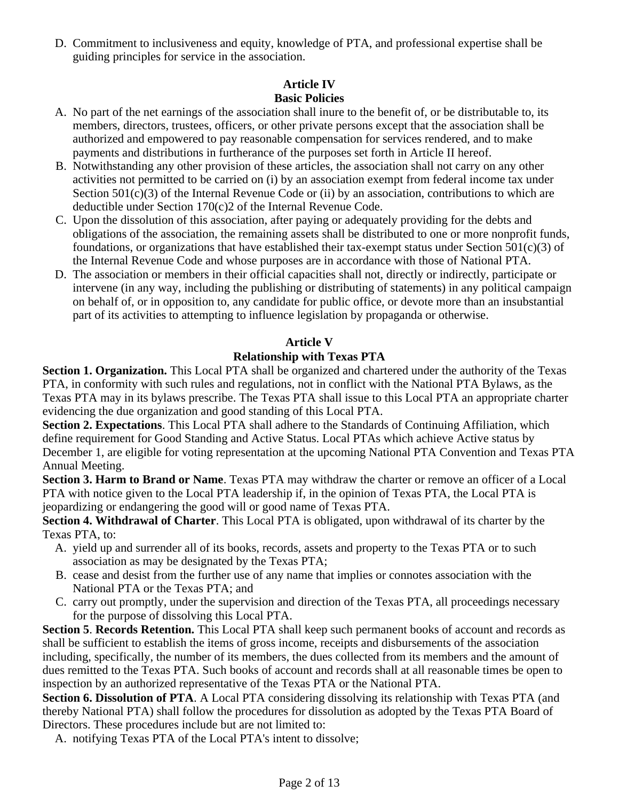D. Commitment to inclusiveness and equity, knowledge of PTA, and professional expertise shall be guiding principles for service in the association.

#### **Article IV Basic Policies**

- A. No part of the net earnings of the association shall inure to the benefit of, or be distributable to, its members, directors, trustees, officers, or other private persons except that the association shall be authorized and empowered to pay reasonable compensation for services rendered, and to make payments and distributions in furtherance of the purposes set forth in Article II hereof.
- B. Notwithstanding any other provision of these articles, the association shall not carry on any other activities not permitted to be carried on (i) by an association exempt from federal income tax under Section  $501(c)(3)$  of the Internal Revenue Code or (ii) by an association, contributions to which are deductible under Section 170(c)2 of the Internal Revenue Code.
- C. Upon the dissolution of this association, after paying or adequately providing for the debts and obligations of the association, the remaining assets shall be distributed to one or more nonprofit funds, foundations, or organizations that have established their tax-exempt status under Section 501(c)(3) of the Internal Revenue Code and whose purposes are in accordance with those of National PTA.
- D. The association or members in their official capacities shall not, directly or indirectly, participate or intervene (in any way, including the publishing or distributing of statements) in any political campaign on behalf of, or in opposition to, any candidate for public office, or devote more than an insubstantial part of its activities to attempting to influence legislation by propaganda or otherwise.

# **Article V**

# **Relationship with Texas PTA**

**Section 1. Organization.** This Local PTA shall be organized and chartered under the authority of the Texas PTA, in conformity with such rules and regulations, not in conflict with the National PTA Bylaws, as the Texas PTA may in its bylaws prescribe. The Texas PTA shall issue to this Local PTA an appropriate charter evidencing the due organization and good standing of this Local PTA.

**Section 2. Expectations**. This Local PTA shall adhere to the Standards of Continuing Affiliation, which define requirement for Good Standing and Active Status. Local PTAs which achieve Active status by December 1, are eligible for voting representation at the upcoming National PTA Convention and Texas PTA Annual Meeting.

**Section 3. Harm to Brand or Name**. Texas PTA may withdraw the charter or remove an officer of a Local PTA with notice given to the Local PTA leadership if, in the opinion of Texas PTA, the Local PTA is jeopardizing or endangering the good will or good name of Texas PTA.

**Section 4. Withdrawal of Charter**. This Local PTA is obligated, upon withdrawal of its charter by the Texas PTA, to:

- A. yield up and surrender all of its books, records, assets and property to the Texas PTA or to such association as may be designated by the Texas PTA;
- B. cease and desist from the further use of any name that implies or connotes association with the National PTA or the Texas PTA; and
- C. carry out promptly, under the supervision and direction of the Texas PTA, all proceedings necessary for the purpose of dissolving this Local PTA.

**Section 5**. **Records Retention.** This Local PTA shall keep such permanent books of account and records as shall be sufficient to establish the items of gross income, receipts and disbursements of the association including, specifically, the number of its members, the dues collected from its members and the amount of dues remitted to the Texas PTA. Such books of account and records shall at all reasonable times be open to inspection by an authorized representative of the Texas PTA or the National PTA.

**Section 6. Dissolution of PTA**. A Local PTA considering dissolving its relationship with Texas PTA (and thereby National PTA) shall follow the procedures for dissolution as adopted by the Texas PTA Board of Directors. These procedures include but are not limited to:

A. notifying Texas PTA of the Local PTA's intent to dissolve;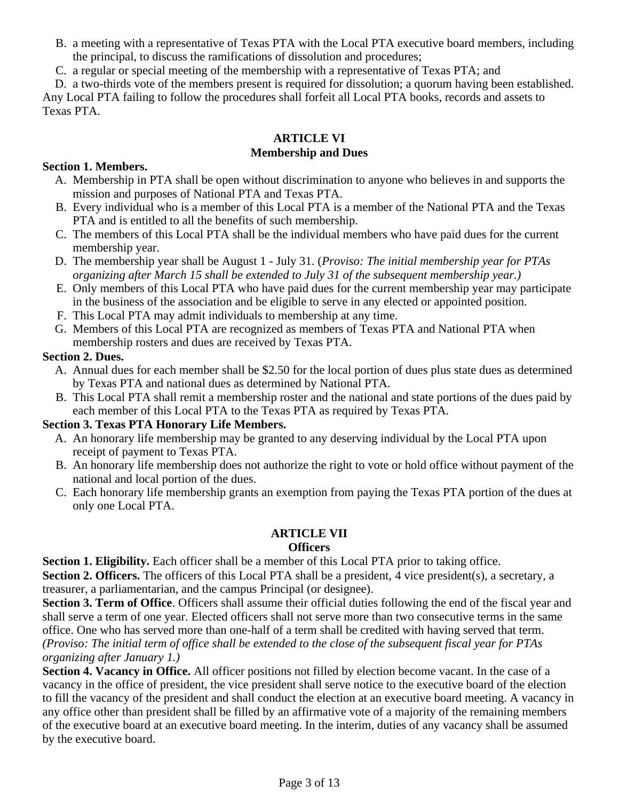- B. a meeting with a representative of Texas PTA with the Local PTA executive board members, including the principal, to discuss the ramifications of dissolution and procedures;
- C. a regular or special meeting of the membership with a representative of Texas PTA; and

D. a two-thirds vote of the members present is required for dissolution; a quorum having been established. Any Local PTA failing to follow the procedures shall forfeit all Local PTA books, records and assets to Texas PTA.

#### **ARTICLE VI Membership and Dues**

#### **Section 1. Members.**

- A. Membership in PTA shall be open without discrimination to anyone who believes in and supports the mission and purposes of National PTA and Texas PTA.
- B. Every individual who is a member of this Local PTA is a member of the National PTA and the Texas PTA and is entitled to all the benefits of such membership.
- C. The members of this Local PTA shall be the individual members who have paid dues for the current membership year.
- D. The membership year shall be August 1 July 31. (*Proviso: The initial membership year for PTAs organizing after March 15 shall be extended to July 31 of the subsequent membership year.)*
- E. Only members of this Local PTA who have paid dues for the current membership year may participate in the business of the association and be eligible to serve in any elected or appointed position.
- F. This Local PTA may admit individuals to membership at any time.
- G. Members of this Local PTA are recognized as members of Texas PTA and National PTA when membership rosters and dues are received by Texas PTA.

# **Section 2. Dues.**

- A. Annual dues for each member shall be \$2.50 for the local portion of dues plus state dues as determined by Texas PTA and national dues as determined by National PTA.
- B. This Local PTA shall remit a membership roster and the national and state portions of the dues paid by each member of this Local PTA to the Texas PTA as required by Texas PTA.

# **Section 3. Texas PTA Honorary Life Members.**

- A. An honorary life membership may be granted to any deserving individual by the Local PTA upon receipt of payment to Texas PTA.
- B. An honorary life membership does not authorize the right to vote or hold office without payment of the national and local portion of the dues.
- C. Each honorary life membership grants an exemption from paying the Texas PTA portion of the dues at only one Local PTA.

# **ARTICLE VII**

#### **Officers**

**Section 1. Eligibility.** Each officer shall be a member of this Local PTA prior to taking office.

**Section 2. Officers.** The officers of this Local PTA shall be a president, 4 vice president(s), a secretary, a treasurer, a parliamentarian, and the campus Principal (or designee).

**Section 3. Term of Office**. Officers shall assume their official duties following the end of the fiscal year and shall serve a term of one year. Elected officers shall not serve more than two consecutive terms in the same office. One who has served more than one-half of a term shall be credited with having served that term. *(Proviso: The initial term of office shall be extended to the close of the subsequent fiscal year for PTAs organizing after January 1.)*

**Section 4. Vacancy in Office.** All officer positions not filled by election become vacant. In the case of a vacancy in the office of president, the vice president shall serve notice to the executive board of the election to fill the vacancy of the president and shall conduct the election at an executive board meeting. A vacancy in any office other than president shall be filled by an affirmative vote of a majority of the remaining members of the executive board at an executive board meeting. In the interim, duties of any vacancy shall be assumed by the executive board.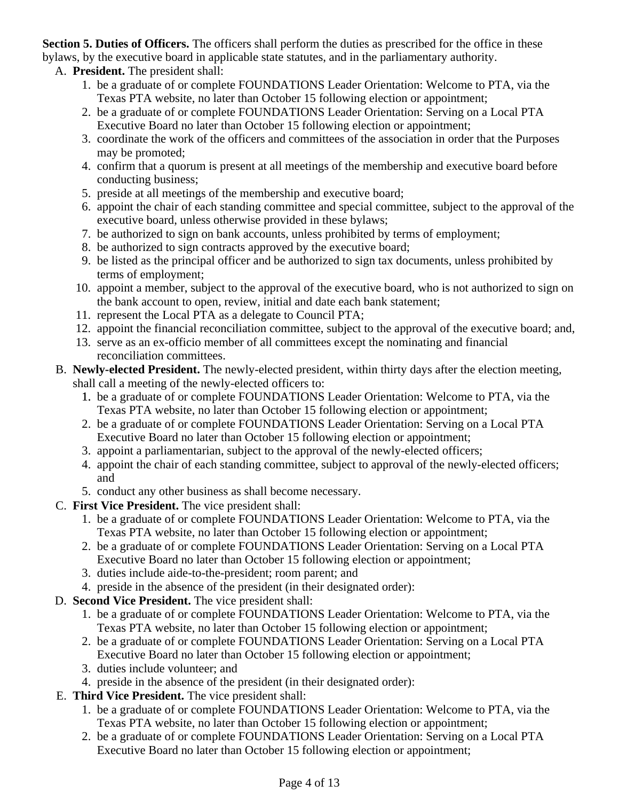**Section 5. Duties of Officers.** The officers shall perform the duties as prescribed for the office in these bylaws, by the executive board in applicable state statutes, and in the parliamentary authority.

# A. **President.** The president shall:

- 1. be a graduate of or complete FOUNDATIONS Leader Orientation: Welcome to PTA, via the Texas PTA website, no later than October 15 following election or appointment;
- 2. be a graduate of or complete FOUNDATIONS Leader Orientation: Serving on a Local PTA Executive Board no later than October 15 following election or appointment;
- 3. coordinate the work of the officers and committees of the association in order that the Purposes may be promoted;
- 4. confirm that a quorum is present at all meetings of the membership and executive board before conducting business;
- 5. preside at all meetings of the membership and executive board;
- 6. appoint the chair of each standing committee and special committee, subject to the approval of the executive board, unless otherwise provided in these bylaws;
- 7. be authorized to sign on bank accounts, unless prohibited by terms of employment;
- 8. be authorized to sign contracts approved by the executive board;
- 9. be listed as the principal officer and be authorized to sign tax documents, unless prohibited by terms of employment;
- 10. appoint a member, subject to the approval of the executive board, who is not authorized to sign on the bank account to open, review, initial and date each bank statement;
- 11. represent the Local PTA as a delegate to Council PTA;
- 12. appoint the financial reconciliation committee, subject to the approval of the executive board; and,
- 13. serve as an ex-officio member of all committees except the nominating and financial reconciliation committees.
- B. **Newly-elected President.** The newly-elected president, within thirty days after the election meeting, shall call a meeting of the newly-elected officers to:
	- 1. be a graduate of or complete FOUNDATIONS Leader Orientation: Welcome to PTA, via the Texas PTA website, no later than October 15 following election or appointment;
	- 2. be a graduate of or complete FOUNDATIONS Leader Orientation: Serving on a Local PTA Executive Board no later than October 15 following election or appointment;
	- 3. appoint a parliamentarian, subject to the approval of the newly-elected officers;
	- 4. appoint the chair of each standing committee, subject to approval of the newly-elected officers; and
	- 5. conduct any other business as shall become necessary.
- C. **First Vice President.** The vice president shall:
	- 1. be a graduate of or complete FOUNDATIONS Leader Orientation: Welcome to PTA, via the Texas PTA website, no later than October 15 following election or appointment;
	- 2. be a graduate of or complete FOUNDATIONS Leader Orientation: Serving on a Local PTA Executive Board no later than October 15 following election or appointment;
	- 3. duties include aide-to-the-president; room parent; and
	- 4. preside in the absence of the president (in their designated order):
- D. **Second Vice President.** The vice president shall:
	- 1. be a graduate of or complete FOUNDATIONS Leader Orientation: Welcome to PTA, via the Texas PTA website, no later than October 15 following election or appointment;
	- 2. be a graduate of or complete FOUNDATIONS Leader Orientation: Serving on a Local PTA Executive Board no later than October 15 following election or appointment;
	- 3. duties include volunteer; and
	- 4. preside in the absence of the president (in their designated order):
- E. **Third Vice President.** The vice president shall:
	- 1. be a graduate of or complete FOUNDATIONS Leader Orientation: Welcome to PTA, via the Texas PTA website, no later than October 15 following election or appointment;
	- 2. be a graduate of or complete FOUNDATIONS Leader Orientation: Serving on a Local PTA Executive Board no later than October 15 following election or appointment;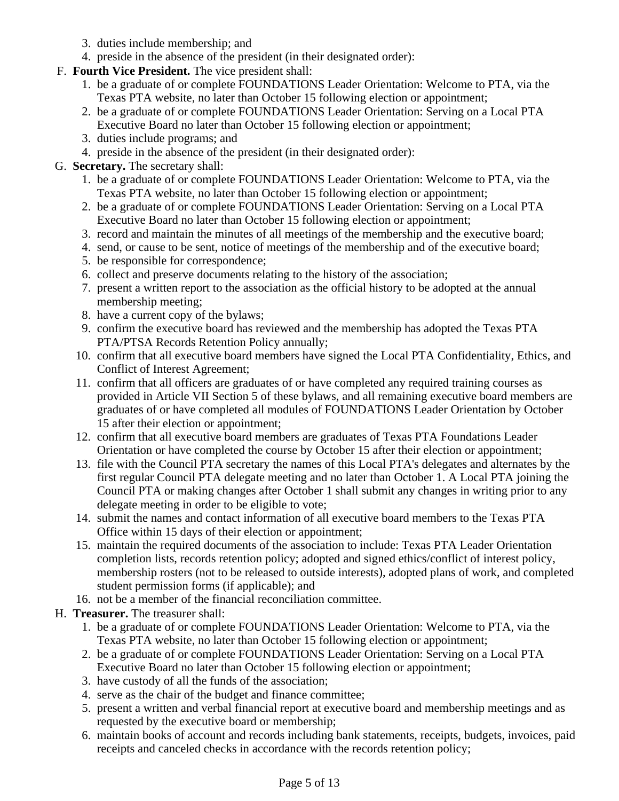- 3. duties include membership; and
- 4. preside in the absence of the president (in their designated order):
- F. **Fourth Vice President.** The vice president shall:
	- 1. be a graduate of or complete FOUNDATIONS Leader Orientation: Welcome to PTA, via the Texas PTA website, no later than October 15 following election or appointment;
	- 2. be a graduate of or complete FOUNDATIONS Leader Orientation: Serving on a Local PTA Executive Board no later than October 15 following election or appointment;
	- 3. duties include programs; and
	- 4. preside in the absence of the president (in their designated order):

# G. **Secretary.** The secretary shall:

- 1. be a graduate of or complete FOUNDATIONS Leader Orientation: Welcome to PTA, via the Texas PTA website, no later than October 15 following election or appointment;
- 2. be a graduate of or complete FOUNDATIONS Leader Orientation: Serving on a Local PTA Executive Board no later than October 15 following election or appointment;
- 3. record and maintain the minutes of all meetings of the membership and the executive board;
- 4. send, or cause to be sent, notice of meetings of the membership and of the executive board;
- 5. be responsible for correspondence;
- 6. collect and preserve documents relating to the history of the association;
- 7. present a written report to the association as the official history to be adopted at the annual membership meeting;
- 8. have a current copy of the bylaws;
- 9. confirm the executive board has reviewed and the membership has adopted the Texas PTA PTA/PTSA Records Retention Policy annually;
- 10. confirm that all executive board members have signed the Local PTA Confidentiality, Ethics, and Conflict of Interest Agreement;
- 11. confirm that all officers are graduates of or have completed any required training courses as provided in Article VII Section 5 of these bylaws, and all remaining executive board members are graduates of or have completed all modules of FOUNDATIONS Leader Orientation by October 15 after their election or appointment;
- 12. confirm that all executive board members are graduates of Texas PTA Foundations Leader Orientation or have completed the course by October 15 after their election or appointment;
- 13. file with the Council PTA secretary the names of this Local PTA's delegates and alternates by the first regular Council PTA delegate meeting and no later than October 1. A Local PTA joining the Council PTA or making changes after October 1 shall submit any changes in writing prior to any delegate meeting in order to be eligible to vote;
- 14. submit the names and contact information of all executive board members to the Texas PTA Office within 15 days of their election or appointment;
- 15. maintain the required documents of the association to include: Texas PTA Leader Orientation completion lists, records retention policy; adopted and signed ethics/conflict of interest policy, membership rosters (not to be released to outside interests), adopted plans of work, and completed student permission forms (if applicable); and
- 16. not be a member of the financial reconciliation committee.
- H. **Treasurer.** The treasurer shall:
	- 1. be a graduate of or complete FOUNDATIONS Leader Orientation: Welcome to PTA, via the Texas PTA website, no later than October 15 following election or appointment;
	- 2. be a graduate of or complete FOUNDATIONS Leader Orientation: Serving on a Local PTA Executive Board no later than October 15 following election or appointment;
	- 3. have custody of all the funds of the association;
	- 4. serve as the chair of the budget and finance committee;
	- 5. present a written and verbal financial report at executive board and membership meetings and as requested by the executive board or membership;
	- 6. maintain books of account and records including bank statements, receipts, budgets, invoices, paid receipts and canceled checks in accordance with the records retention policy;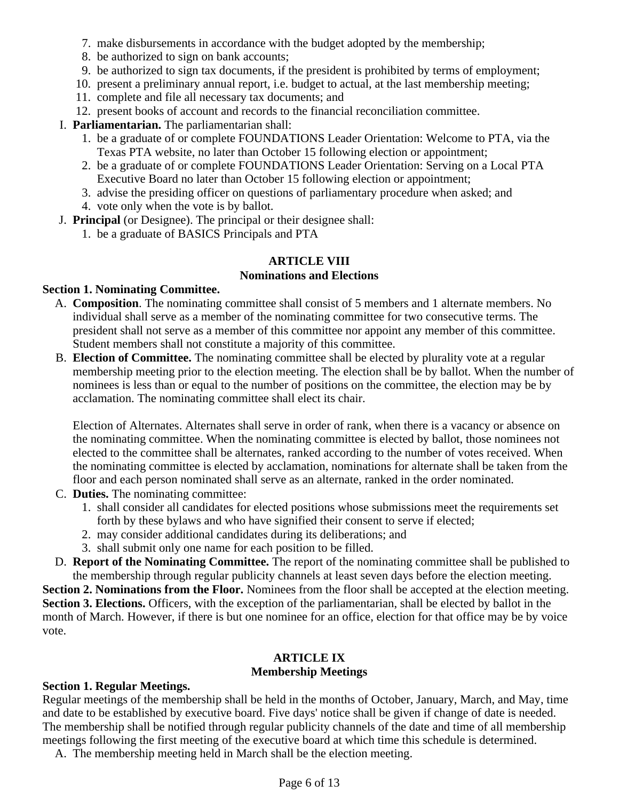- 7. make disbursements in accordance with the budget adopted by the membership;
- 8. be authorized to sign on bank accounts;
- 9. be authorized to sign tax documents, if the president is prohibited by terms of employment;
- 10. present a preliminary annual report, i.e. budget to actual, at the last membership meeting;
- 11. complete and file all necessary tax documents; and
- 12. present books of account and records to the financial reconciliation committee.
- I. **Parliamentarian.** The parliamentarian shall:
	- 1. be a graduate of or complete FOUNDATIONS Leader Orientation: Welcome to PTA, via the Texas PTA website, no later than October 15 following election or appointment;
	- 2. be a graduate of or complete FOUNDATIONS Leader Orientation: Serving on a Local PTA Executive Board no later than October 15 following election or appointment;
	- 3. advise the presiding officer on questions of parliamentary procedure when asked; and
	- 4. vote only when the vote is by ballot.
- J. **Principal** (or Designee). The principal or their designee shall:
	- 1. be a graduate of BASICS Principals and PTA

#### **ARTICLE VIII Nominations and Elections**

# **Section 1. Nominating Committee.**

- A. **Composition**. The nominating committee shall consist of 5 members and 1 alternate members. No individual shall serve as a member of the nominating committee for two consecutive terms. The president shall not serve as a member of this committee nor appoint any member of this committee. Student members shall not constitute a majority of this committee.
- B. **Election of Committee.** The nominating committee shall be elected by plurality vote at a regular membership meeting prior to the election meeting. The election shall be by ballot. When the number of nominees is less than or equal to the number of positions on the committee, the election may be by acclamation. The nominating committee shall elect its chair.

Election of Alternates. Alternates shall serve in order of rank, when there is a vacancy or absence on the nominating committee. When the nominating committee is elected by ballot, those nominees not elected to the committee shall be alternates, ranked according to the number of votes received. When the nominating committee is elected by acclamation, nominations for alternate shall be taken from the floor and each person nominated shall serve as an alternate, ranked in the order nominated.

- C. **Duties.** The nominating committee:
	- 1. shall consider all candidates for elected positions whose submissions meet the requirements set forth by these bylaws and who have signified their consent to serve if elected;
	- 2. may consider additional candidates during its deliberations; and
	- 3. shall submit only one name for each position to be filled.
- D. **Report of the Nominating Committee.** The report of the nominating committee shall be published to the membership through regular publicity channels at least seven days before the election meeting.

**Section 2. Nominations from the Floor.** Nominees from the floor shall be accepted at the election meeting. **Section 3. Elections.** Officers, with the exception of the parliamentarian, shall be elected by ballot in the month of March. However, if there is but one nominee for an office, election for that office may be by voice vote.

#### **ARTICLE IX Membership Meetings**

# **Section 1. Regular Meetings.**

Regular meetings of the membership shall be held in the months of October, January, March, and May, time and date to be established by executive board. Five days' notice shall be given if change of date is needed. The membership shall be notified through regular publicity channels of the date and time of all membership meetings following the first meeting of the executive board at which time this schedule is determined.

A. The membership meeting held in March shall be the election meeting.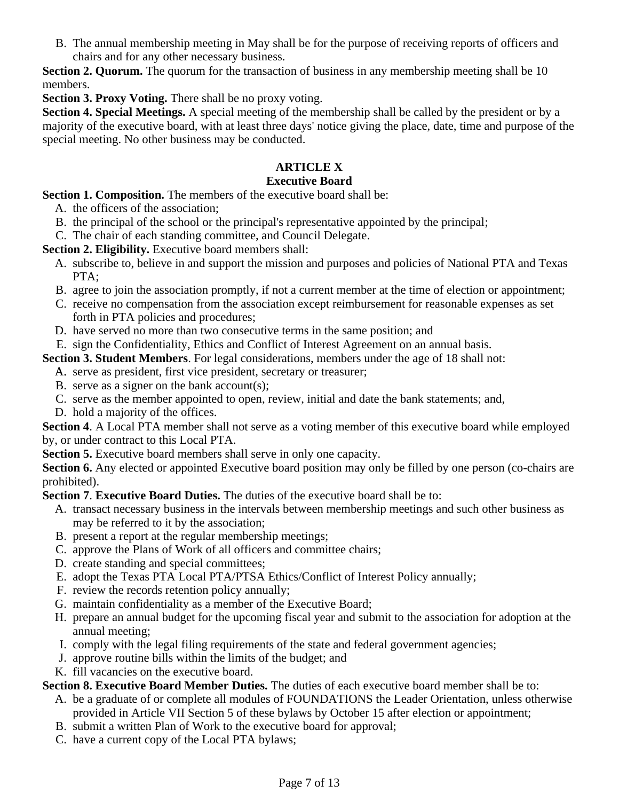B. The annual membership meeting in May shall be for the purpose of receiving reports of officers and chairs and for any other necessary business.

**Section 2. Quorum.** The quorum for the transaction of business in any membership meeting shall be 10 members.

**Section 3. Proxy Voting.** There shall be no proxy voting.

**Section 4. Special Meetings.** A special meeting of the membership shall be called by the president or by a majority of the executive board, with at least three days' notice giving the place, date, time and purpose of the special meeting. No other business may be conducted.

# **ARTICLE X**

#### **Executive Board**

**Section 1. Composition.** The members of the executive board shall be:

- A. the officers of the association;
- B. the principal of the school or the principal's representative appointed by the principal;
- C. The chair of each standing committee, and Council Delegate.

**Section 2. Eligibility.** Executive board members shall:

- A. subscribe to, believe in and support the mission and purposes and policies of National PTA and Texas PTA;
- B. agree to join the association promptly, if not a current member at the time of election or appointment;
- C. receive no compensation from the association except reimbursement for reasonable expenses as set forth in PTA policies and procedures;
- D. have served no more than two consecutive terms in the same position; and
- E. sign the Confidentiality, Ethics and Conflict of Interest Agreement on an annual basis.

**Section 3. Student Members**. For legal considerations, members under the age of 18 shall not:

- A. serve as president, first vice president, secretary or treasurer;
- B. serve as a signer on the bank account(s);
- C. serve as the member appointed to open, review, initial and date the bank statements; and,
- D. hold a majority of the offices.

**Section 4**. A Local PTA member shall not serve as a voting member of this executive board while employed by, or under contract to this Local PTA.

**Section 5.** Executive board members shall serve in only one capacity.

**Section 6.** Any elected or appointed Executive board position may only be filled by one person (co-chairs are prohibited).

**Section 7**. **Executive Board Duties.** The duties of the executive board shall be to:

- A. transact necessary business in the intervals between membership meetings and such other business as may be referred to it by the association;
- B. present a report at the regular membership meetings;
- C. approve the Plans of Work of all officers and committee chairs;
- D. create standing and special committees;
- E. adopt the Texas PTA Local PTA/PTSA Ethics/Conflict of Interest Policy annually;
- F. review the records retention policy annually;
- G. maintain confidentiality as a member of the Executive Board;
- H. prepare an annual budget for the upcoming fiscal year and submit to the association for adoption at the annual meeting;
- I. comply with the legal filing requirements of the state and federal government agencies;
- J. approve routine bills within the limits of the budget; and
- K. fill vacancies on the executive board.

**Section 8. Executive Board Member Duties.** The duties of each executive board member shall be to:

- A. be a graduate of or complete all modules of FOUNDATIONS the Leader Orientation, unless otherwise provided in Article VII Section 5 of these bylaws by October 15 after election or appointment;
- B. submit a written Plan of Work to the executive board for approval;
- C. have a current copy of the Local PTA bylaws;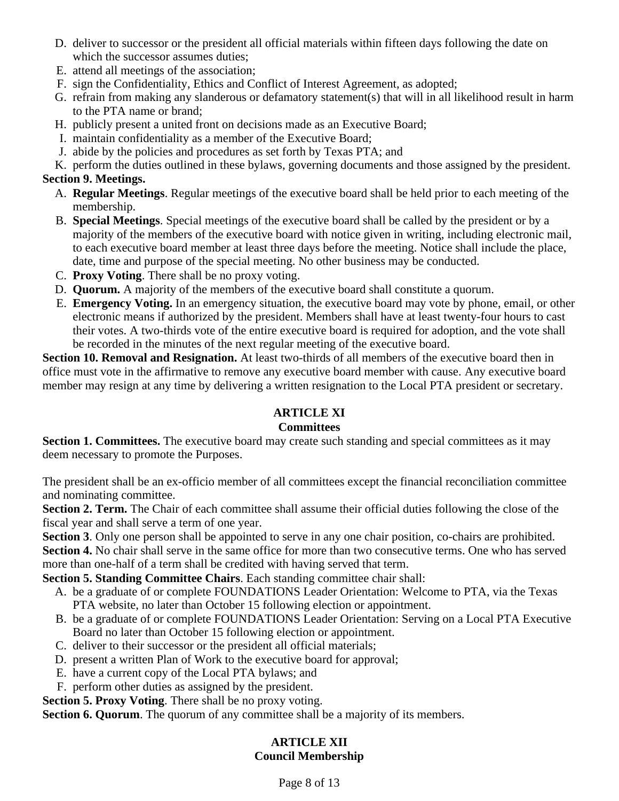- D. deliver to successor or the president all official materials within fifteen days following the date on which the successor assumes duties;
- E. attend all meetings of the association;
- F. sign the Confidentiality, Ethics and Conflict of Interest Agreement, as adopted;
- G. refrain from making any slanderous or defamatory statement(s) that will in all likelihood result in harm to the PTA name or brand;
- H. publicly present a united front on decisions made as an Executive Board;
- I. maintain confidentiality as a member of the Executive Board;
- J. abide by the policies and procedures as set forth by Texas PTA; and
- K. perform the duties outlined in these bylaws, governing documents and those assigned by the president.

# **Section 9. Meetings.**

- A. **Regular Meetings**. Regular meetings of the executive board shall be held prior to each meeting of the membership.
- B. **Special Meetings**. Special meetings of the executive board shall be called by the president or by a majority of the members of the executive board with notice given in writing, including electronic mail, to each executive board member at least three days before the meeting. Notice shall include the place, date, time and purpose of the special meeting. No other business may be conducted.
- C. **Proxy Voting**. There shall be no proxy voting.
- D. **Quorum.** A majority of the members of the executive board shall constitute a quorum.
- E. **Emergency Voting.** In an emergency situation, the executive board may vote by phone, email, or other electronic means if authorized by the president. Members shall have at least twenty-four hours to cast their votes. A two-thirds vote of the entire executive board is required for adoption, and the vote shall be recorded in the minutes of the next regular meeting of the executive board.

**Section 10. Removal and Resignation.** At least two-thirds of all members of the executive board then in office must vote in the affirmative to remove any executive board member with cause. Any executive board member may resign at any time by delivering a written resignation to the Local PTA president or secretary.

# **ARTICLE XI**

#### **Committees**

**Section 1. Committees.** The executive board may create such standing and special committees as it may deem necessary to promote the Purposes.

The president shall be an ex-officio member of all committees except the financial reconciliation committee and nominating committee.

**Section 2. Term.** The Chair of each committee shall assume their official duties following the close of the fiscal year and shall serve a term of one year.

**Section 3**. Only one person shall be appointed to serve in any one chair position, co-chairs are prohibited.

**Section 4.** No chair shall serve in the same office for more than two consecutive terms. One who has served more than one-half of a term shall be credited with having served that term.

**Section 5. Standing Committee Chairs**. Each standing committee chair shall:

- A. be a graduate of or complete FOUNDATIONS Leader Orientation: Welcome to PTA, via the Texas PTA website, no later than October 15 following election or appointment.
- B. be a graduate of or complete FOUNDATIONS Leader Orientation: Serving on a Local PTA Executive Board no later than October 15 following election or appointment.
- C. deliver to their successor or the president all official materials;
- D. present a written Plan of Work to the executive board for approval;
- E. have a current copy of the Local PTA bylaws; and
- F. perform other duties as assigned by the president.

**Section 5. Proxy Voting**. There shall be no proxy voting.

**Section 6. Quorum**. The quorum of any committee shall be a majority of its members.

# **ARTICLE XII Council Membership**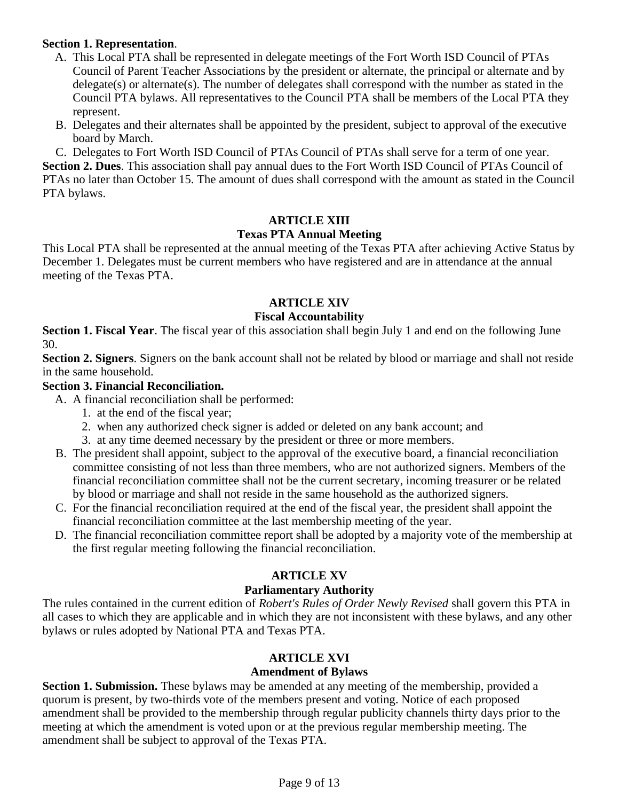#### **Section 1. Representation**.

- A. This Local PTA shall be represented in delegate meetings of the Fort Worth ISD Council of PTAs Council of Parent Teacher Associations by the president or alternate, the principal or alternate and by delegate(s) or alternate(s). The number of delegates shall correspond with the number as stated in the Council PTA bylaws. All representatives to the Council PTA shall be members of the Local PTA they represent.
- B. Delegates and their alternates shall be appointed by the president, subject to approval of the executive board by March.
- C. Delegates to Fort Worth ISD Council of PTAs Council of PTAs shall serve for a term of one year.

**Section 2. Dues**. This association shall pay annual dues to the Fort Worth ISD Council of PTAs Council of PTAs no later than October 15. The amount of dues shall correspond with the amount as stated in the Council PTA bylaws.

#### **ARTICLE XIII**

#### **Texas PTA Annual Meeting**

This Local PTA shall be represented at the annual meeting of the Texas PTA after achieving Active Status by December 1. Delegates must be current members who have registered and are in attendance at the annual meeting of the Texas PTA.

#### **ARTICLE XIV**

#### **Fiscal Accountability**

**Section 1. Fiscal Year**. The fiscal year of this association shall begin July 1 and end on the following June 30.

**Section 2. Signers**. Signers on the bank account shall not be related by blood or marriage and shall not reside in the same household.

# **Section 3. Financial Reconciliation.**

- A. A financial reconciliation shall be performed:
	- 1. at the end of the fiscal year;
	- 2. when any authorized check signer is added or deleted on any bank account; and
	- 3. at any time deemed necessary by the president or three or more members.
- B. The president shall appoint, subject to the approval of the executive board, a financial reconciliation committee consisting of not less than three members, who are not authorized signers. Members of the financial reconciliation committee shall not be the current secretary, incoming treasurer or be related by blood or marriage and shall not reside in the same household as the authorized signers.
- C. For the financial reconciliation required at the end of the fiscal year, the president shall appoint the financial reconciliation committee at the last membership meeting of the year.
- D. The financial reconciliation committee report shall be adopted by a majority vote of the membership at the first regular meeting following the financial reconciliation.

#### **ARTICLE XV**

#### **Parliamentary Authority**

The rules contained in the current edition of *Robert's Rules of Order Newly Revised* shall govern this PTA in all cases to which they are applicable and in which they are not inconsistent with these bylaws, and any other bylaws or rules adopted by National PTA and Texas PTA.

#### **ARTICLE XVI**

#### **Amendment of Bylaws**

**Section 1. Submission.** These bylaws may be amended at any meeting of the membership, provided a quorum is present, by two-thirds vote of the members present and voting. Notice of each proposed amendment shall be provided to the membership through regular publicity channels thirty days prior to the meeting at which the amendment is voted upon or at the previous regular membership meeting. The amendment shall be subject to approval of the Texas PTA.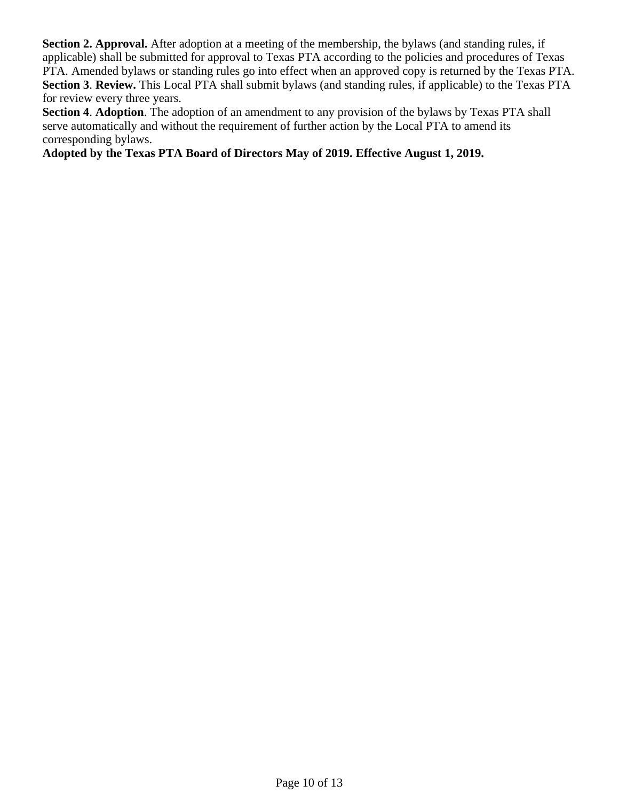**Section 2. Approval.** After adoption at a meeting of the membership, the bylaws (and standing rules, if applicable) shall be submitted for approval to Texas PTA according to the policies and procedures of Texas PTA. Amended bylaws or standing rules go into effect when an approved copy is returned by the Texas PTA. **Section 3**. **Review.** This Local PTA shall submit bylaws (and standing rules, if applicable) to the Texas PTA for review every three years.

**Section 4**. **Adoption**. The adoption of an amendment to any provision of the bylaws by Texas PTA shall serve automatically and without the requirement of further action by the Local PTA to amend its corresponding bylaws.

**Adopted by the Texas PTA Board of Directors May of 2019. Effective August 1, 2019.**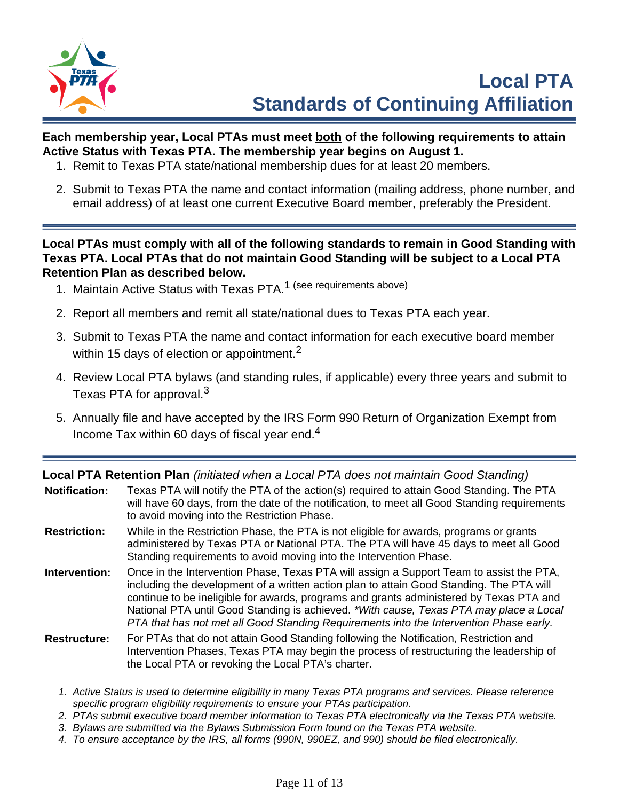

# **Each membership year, Local PTAs must meet both of the following requirements to attain Active Status with Texas PTA. The membership year begins on August 1.**

- 1. Remit to Texas PTA state/national membership dues for at least 20 members.
- 2. Submit to Texas PTA the name and contact information (mailing address, phone number, and email address) of at least one current Executive Board member, preferably the President.

**Local PTAs must comply with all of the following standards to remain in Good Standing with Texas PTA. Local PTAs that do not maintain Good Standing will be subject to a Local PTA Retention Plan as described below.**

- 1. Maintain Active Status with Texas PTA.<sup>1</sup> (see requirements above)
- 2. Report all members and remit all state/national dues to Texas PTA each year.
- 3. Submit to Texas PTA the name and contact information for each executive board member within 15 days of election or appointment.<sup>2</sup>
- 4. Review Local PTA bylaws (and standing rules, if applicable) every three years and submit to Texas PTA for approval.<sup>3</sup>
- 5. Annually file and have accepted by the IRS Form 990 Return of Organization Exempt from Income Tax within 60 days of fiscal year end.<sup>4</sup>

**Local PTA Retention Plan** (initiated when a Local PTA does not maintain Good Standing)

| <b>Notification:</b> | Texas PTA will notify the PTA of the action(s) required to attain Good Standing. The PTA<br>will have 60 days, from the date of the notification, to meet all Good Standing requirements<br>to avoid moving into the Restriction Phase.                                                                                                                                                                                                                            |
|----------------------|--------------------------------------------------------------------------------------------------------------------------------------------------------------------------------------------------------------------------------------------------------------------------------------------------------------------------------------------------------------------------------------------------------------------------------------------------------------------|
| <b>Restriction:</b>  | While in the Restriction Phase, the PTA is not eligible for awards, programs or grants<br>administered by Texas PTA or National PTA. The PTA will have 45 days to meet all Good<br>Standing requirements to avoid moving into the Intervention Phase.                                                                                                                                                                                                              |
| Intervention:        | Once in the Intervention Phase, Texas PTA will assign a Support Team to assist the PTA,<br>including the development of a written action plan to attain Good Standing. The PTA will<br>continue to be ineligible for awards, programs and grants administered by Texas PTA and<br>National PTA until Good Standing is achieved. *With cause, Texas PTA may place a Local<br>PTA that has not met all Good Standing Requirements into the Intervention Phase early. |

- **Restructure:** For PTAs that do not attain Good Standing following the Notification, Restriction and Intervention Phases, Texas PTA may begin the process of restructuring the leadership of the Local PTA or revoking the Local PTA's charter.
	- 1. Active Status is used to determine eligibility in many Texas PTA programs and services. Please reference specific program eligibility requirements to ensure your PTAs participation.
	- 2. PTAs submit executive board member information to Texas PTA electronically via the Texas PTA website.
	- 3. Bylaws are submitted via the Bylaws Submission Form found on the Texas PTA website.
	- 4. To ensure acceptance by the IRS, all forms (990N, 990EZ, and 990) should be filed electronically.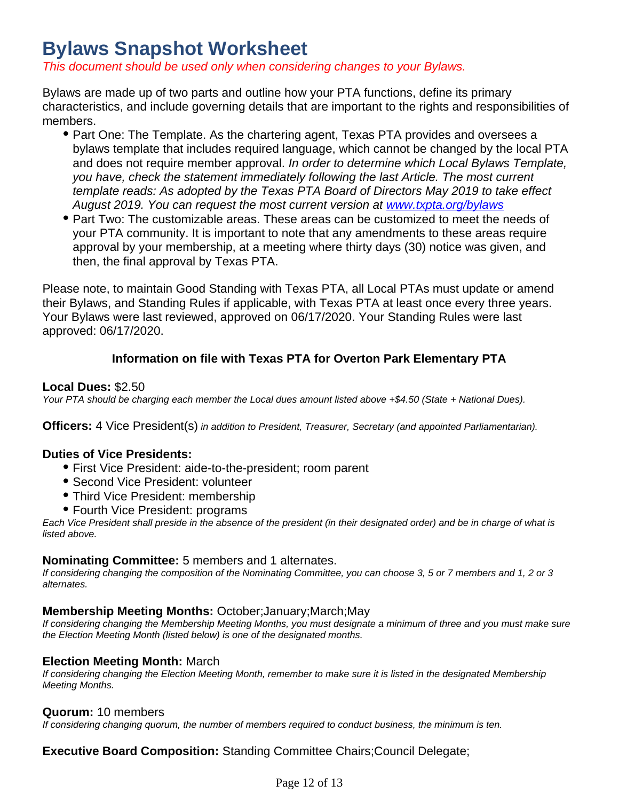# **Bylaws Snapshot Worksheet**

This document should be used only when considering changes to your Bylaws.

Bylaws are made up of two parts and outline how your PTA functions, define its primary characteristics, and include governing details that are important to the rights and responsibilities of members.

- Part One: The Template. As the chartering agent, Texas PTA provides and oversees a bylaws template that includes required language, which cannot be changed by the local PTA and does not require member approval. In order to determine which Local Bylaws Template, you have, check the statement immediately following the last Article. The most current template reads: As adopted by the Texas PTA Board of Directors May 2019 to take effect August 2019. You can request the most current version at [www.txpta.org/bylaws](https://www.txpta.org/bylaws)
- Part Two: The customizable areas. These areas can be customized to meet the needs of your PTA community. It is important to note that any amendments to these areas require approval by your membership, at a meeting where thirty days (30) notice was given, and then, the final approval by Texas PTA.

Please note, to maintain Good Standing with Texas PTA, all Local PTAs must update or amend their Bylaws, and Standing Rules if applicable, with Texas PTA at least once every three years. Your Bylaws were last reviewed, approved on 06/17/2020. Your Standing Rules were last approved: 06/17/2020.

# **Information on file with Texas PTA for Overton Park Elementary PTA**

#### **Local Dues:** \$2.50

Your PTA should be charging each member the Local dues amount listed above  $+$ \$4.50 (State + National Dues).

**Officers:** 4 Vice President(s) in addition to President, Treasurer, Secretary (and appointed Parliamentarian).

#### **Duties of Vice Presidents:**

- First Vice President: aide-to-the-president; room parent
- Second Vice President: volunteer
- Third Vice President: membership
- Fourth Vice President: programs

Each Vice President shall preside in the absence of the president (in their designated order) and be in charge of what is listed above.

#### **Nominating Committee:** 5 members and 1 alternates.

If considering changing the composition of the Nominating Committee, you can choose 3, 5 or 7 members and 1, 2 or 3 alternates.

#### **Membership Meeting Months:** October;January;March;May

If considering changing the Membership Meeting Months, you must designate a minimum of three and you must make sure the Election Meeting Month (listed below) is one of the designated months.

#### **Election Meeting Month:** March

If considering changing the Election Meeting Month, remember to make sure it is listed in the designated Membership Meeting Months.

#### **Quorum:** 10 members

If considering changing quorum, the number of members required to conduct business, the minimum is ten.

**Executive Board Composition:** Standing Committee Chairs;Council Delegate;